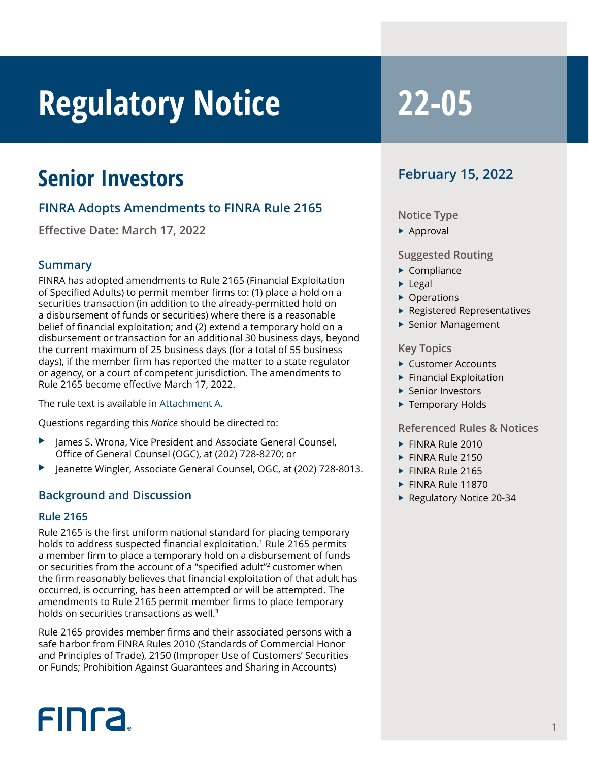# **Regulatory Notice 22-05**

### **Senior Investors**

#### **FINRA Adopts Amendments to FINRA Rule 2165**

**Effective Date: March 17, 2022**

#### **Summary**

FINRA has adopted amendments to Rule 2165 (Financial Exploitation of Specified Adults) to permit member firms to: (1) place a hold on a securities transaction (in addition to the already-permitted hold on a disbursement of funds or securities) where there is a reasonable belief of financial exploitation; and (2) extend a temporary hold on a disbursement or transaction for an additional 30 business days, beyond the current maximum of 25 business days (for a total of 55 business days), if the member firm has reported the matter to a state regulator or agency, or a court of competent jurisdiction. The amendments to Rule 2165 become effective March 17, 2022.

The rule text is available in [Attachment A](https://www.finra.org/sites/default/files/2022-02/rule-2165-notice-attachment-a.pdf).

Questions regarding this *Notice* should be directed to:

- James S. Wrona, Vice President and Associate General Counsel, Office of General Counsel (OGC), at (202) 728-8270; or
- Jeanette Wingler, Associate General Counsel, OGC, at (202) 728-8013.

#### **Background and Discussion**

#### **Rule 2165**

Rule 2165 is the first uniform national standard for placing temporary holds to address suspected financial exploitation.<sup>1</sup> Rule 2165 permits a member firm to place a temporary hold on a disbursement of funds or securities from the account of a "specified adult"2 customer when the firm reasonably believes that financial exploitation of that adult has occurred, is occurring, has been attempted or will be attempted. The amendments to Rule 2165 permit member firms to place temporary holds on securities transactions as well.3

Rule 2165 provides member firms and their associated persons with a safe harbor from FINRA Rules 2010 (Standards of Commercial Honor and Principles of Trade), 2150 (Improper Use of Customers' Securities or Funds; Prohibition Against Guarantees and Sharing in Accounts)

#### **February 15, 2022**

#### **Notice Type**

 $\blacktriangleright$  Approval

#### **Suggested Routing**

- $\blacktriangleright$  Compliance
- $\blacktriangleright$  Legal
- $\triangleright$  Operations
- $\blacktriangleright$  Registered Representatives
- $\blacktriangleright$  Senior Management

#### **Key Topics**

- $\blacktriangleright$  Customer Accounts
- $\blacktriangleright$  Financial Exploitation
- $\blacktriangleright$  Senior Investors
- ▶ Temporary Holds

#### **Referenced Rules & Notices**

- $\blacktriangleright$  FINRA Rule 2010
- $\blacktriangleright$  FINRA Rule 2150
- $\blacktriangleright$  FINRA Rule 2165
- $\blacktriangleright$  FINRA Rule 11870
- $\blacktriangleright$  Regulatory Notice 20-34

## **FINCA**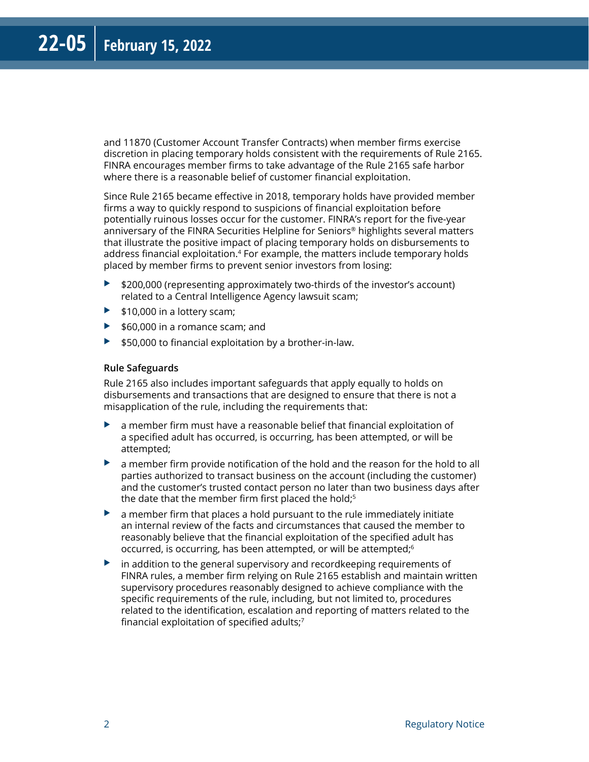and 11870 (Customer Account Transfer Contracts) when member firms exercise discretion in placing temporary holds consistent with the requirements of Rule 2165. FINRA encourages member firms to take advantage of the Rule 2165 safe harbor where there is a reasonable belief of customer financial exploitation.

Since Rule 2165 became effective in 2018, temporary holds have provided member firms a way to quickly respond to suspicions of financial exploitation before potentially ruinous losses occur for the customer. FINRA's report for the five-year anniversary of the FINRA Securities Helpline for Seniors® highlights several matters that illustrate the positive impact of placing temporary holds on disbursements to address financial exploitation.<sup>4</sup> For example, the matters include temporary holds placed by member firms to prevent senior investors from losing:

- $\blacktriangleright$  \$200,000 (representing approximately two-thirds of the investor's account) related to a Central Intelligence Agency lawsuit scam;
- $\blacktriangleright$  \$10,000 in a lottery scam;
- $\blacktriangleright$  \$60,000 in a romance scam; and
- $\blacktriangleright$  \$50,000 to financial exploitation by a brother-in-law.

#### **Rule Safeguards**

Rule 2165 also includes important safeguards that apply equally to holds on disbursements and transactions that are designed to ensure that there is not a misapplication of the rule, including the requirements that:

- $\triangleright$  a member firm must have a reasonable belief that financial exploitation of a specified adult has occurred, is occurring, has been attempted, or will be attempted;
- $\triangleright$  a member firm provide notification of the hold and the reason for the hold to all parties authorized to transact business on the account (including the customer) and the customer's trusted contact person no later than two business days after the date that the member firm first placed the hold;<sup>5</sup>
- $\blacktriangleright$  a member firm that places a hold pursuant to the rule immediately initiate an internal review of the facts and circumstances that caused the member to reasonably believe that the financial exploitation of the specified adult has occurred, is occurring, has been attempted, or will be attempted;6
- $\blacktriangleright$  in addition to the general supervisory and recordkeeping requirements of FINRA rules, a member firm relying on Rule 2165 establish and maintain written supervisory procedures reasonably designed to achieve compliance with the specific requirements of the rule, including, but not limited to, procedures related to the identification, escalation and reporting of matters related to the financial exploitation of specified adults;7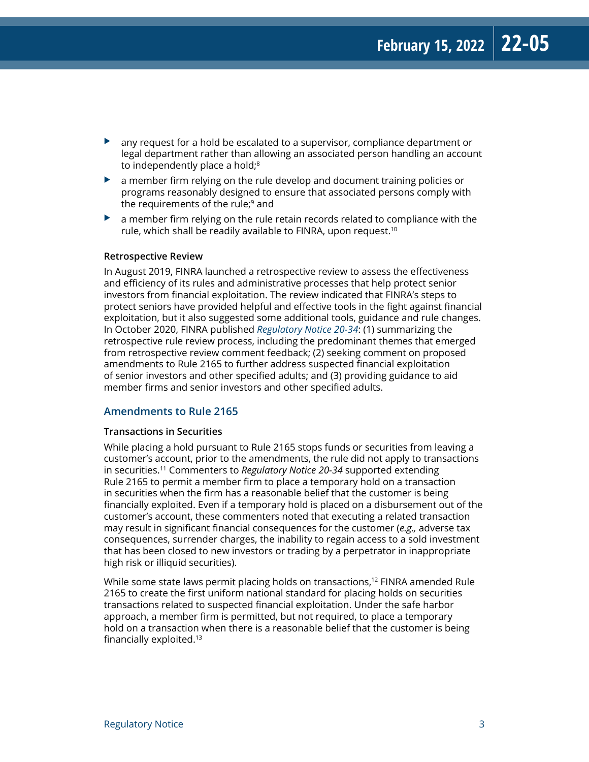- $\blacktriangleright$  any request for a hold be escalated to a supervisor, compliance department or legal department rather than allowing an associated person handling an account to independently place a hold;<sup>8</sup>
- $\blacktriangleright$  a member firm relying on the rule develop and document training policies or programs reasonably designed to ensure that associated persons comply with the requirements of the rule; $9$  and
- $\blacktriangleright$  a member firm relying on the rule retain records related to compliance with the rule, which shall be readily available to FINRA, upon request.<sup>10</sup>

#### **Retrospective Review**

In August 2019, FINRA launched a retrospective review to assess the effectiveness and efficiency of its rules and administrative processes that help protect senior investors from financial exploitation. The review indicated that FINRA's steps to protect seniors have provided helpful and effective tools in the fight against financial exploitation, but it also suggested some additional tools, guidance and rule changes. In October 2020, FINRA published *[Regulatory Notice 20-34](https://www.finra.org/rules-guidance/notices/20-34)*: (1) summarizing the retrospective rule review process, including the predominant themes that emerged from retrospective review comment feedback; (2) seeking comment on proposed amendments to Rule 2165 to further address suspected financial exploitation of senior investors and other specified adults; and (3) providing guidance to aid member firms and senior investors and other specified adults.

#### **Amendments to Rule 2165**

#### **Transactions in Securities**

While placing a hold pursuant to Rule 2165 stops funds or securities from leaving a customer's account, prior to the amendments, the rule did not apply to transactions in securities.11 Commenters to *Regulatory Notice 20-34* supported extending Rule 2165 to permit a member firm to place a temporary hold on a transaction in securities when the firm has a reasonable belief that the customer is being financially exploited. Even if a temporary hold is placed on a disbursement out of the customer's account, these commenters noted that executing a related transaction may result in significant financial consequences for the customer (*e.g.,* adverse tax consequences, surrender charges, the inability to regain access to a sold investment that has been closed to new investors or trading by a perpetrator in inappropriate high risk or illiquid securities).

While some state laws permit placing holds on transactions,<sup>12</sup> FINRA amended Rule 2165 to create the first uniform national standard for placing holds on securities transactions related to suspected financial exploitation. Under the safe harbor approach, a member firm is permitted, but not required, to place a temporary hold on a transaction when there is a reasonable belief that the customer is being financially exploited.13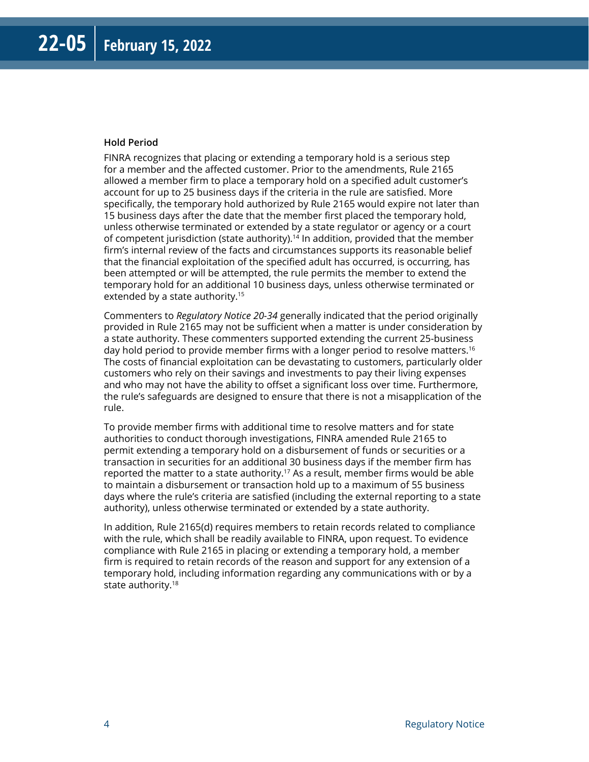#### **Hold Period**

FINRA recognizes that placing or extending a temporary hold is a serious step for a member and the affected customer. Prior to the amendments, Rule 2165 allowed a member firm to place a temporary hold on a specified adult customer's account for up to 25 business days if the criteria in the rule are satisfied. More specifically, the temporary hold authorized by Rule 2165 would expire not later than 15 business days after the date that the member first placed the temporary hold, unless otherwise terminated or extended by a state regulator or agency or a court of competent jurisdiction (state authority).<sup>14</sup> In addition, provided that the member firm's internal review of the facts and circumstances supports its reasonable belief that the financial exploitation of the specified adult has occurred, is occurring, has been attempted or will be attempted, the rule permits the member to extend the temporary hold for an additional 10 business days, unless otherwise terminated or extended by a state authority.<sup>15</sup>

Commenters to *Regulatory Notice 20-34* generally indicated that the period originally provided in Rule 2165 may not be sufficient when a matter is under consideration by a state authority. These commenters supported extending the current 25-business day hold period to provide member firms with a longer period to resolve matters.16 The costs of financial exploitation can be devastating to customers, particularly older customers who rely on their savings and investments to pay their living expenses and who may not have the ability to offset a significant loss over time. Furthermore, the rule's safeguards are designed to ensure that there is not a misapplication of the rule.

To provide member firms with additional time to resolve matters and for state authorities to conduct thorough investigations, FINRA amended Rule 2165 to permit extending a temporary hold on a disbursement of funds or securities or a transaction in securities for an additional 30 business days if the member firm has reported the matter to a state authority.<sup>17</sup> As a result, member firms would be able to maintain a disbursement or transaction hold up to a maximum of 55 business days where the rule's criteria are satisfied (including the external reporting to a state authority), unless otherwise terminated or extended by a state authority.

In addition, Rule 2165(d) requires members to retain records related to compliance with the rule, which shall be readily available to FINRA, upon request. To evidence compliance with Rule 2165 in placing or extending a temporary hold, a member firm is required to retain records of the reason and support for any extension of a temporary hold, including information regarding any communications with or by a state authority.18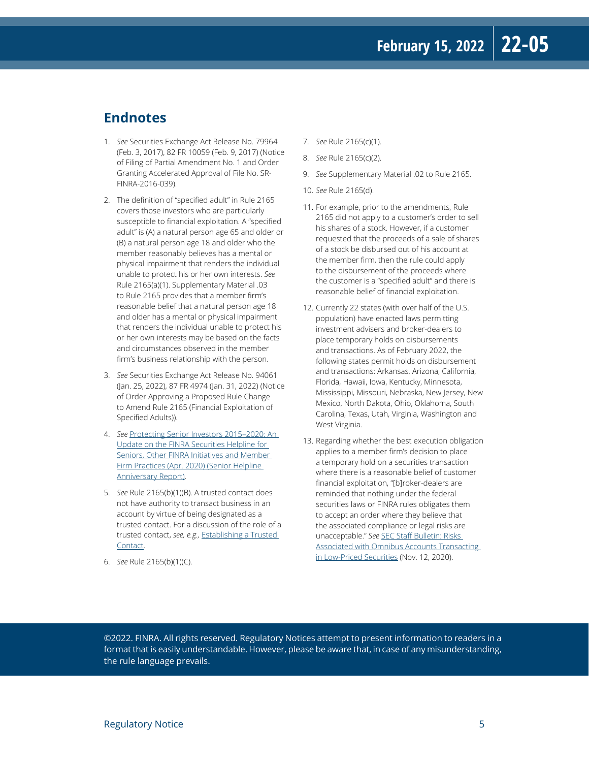### **Endnotes**

- 1. *See* Securities Exchange Act Release No. 79964 (Feb. 3, 2017), 82 FR 10059 (Feb. 9, 2017) (Notice of Filing of Partial Amendment No. 1 and Order Granting Accelerated Approval of File No. SR-FINRA-2016-039).
- 2. The definition of "specified adult" in Rule 2165 covers those investors who are particularly susceptible to financial exploitation. A "specified adult" is (A) a natural person age 65 and older or (B) a natural person age 18 and older who the member reasonably believes has a mental or physical impairment that renders the individual unable to protect his or her own interests. *See* Rule 2165(a)(1). Supplementary Material .03 to Rule 2165 provides that a member firm's reasonable belief that a natural person age 18 and older has a mental or physical impairment that renders the individual unable to protect his or her own interests may be based on the facts and circumstances observed in the member firm's business relationship with the person.
- 3. *See* Securities Exchange Act Release No. 94061 (Jan. 25, 2022), 87 FR 4974 (Jan. 31, 2022) (Notice of Order Approving a Proposed Rule Change to Amend Rule 2165 (Financial Exploitation of Specified Adults)).
- 4. *See* [Protecting Senior Investors 2015–2020: An](https://www.finra.org/sites/default/files/2020-04/protecting-senior-investors-2015-2020.pdf)  [Update on the FINRA Securities Helpline for](https://www.finra.org/sites/default/files/2020-04/protecting-senior-investors-2015-2020.pdf)  [Seniors, Other FINRA Initiatives and Member](https://www.finra.org/sites/default/files/2020-04/protecting-senior-investors-2015-2020.pdf)  [Firm Practices](https://www.finra.org/sites/default/files/2020-04/protecting-senior-investors-2015-2020.pdf) (Apr. 2020) (Senior Helpline Anniversary Report).
- 5. *See* Rule 2165(b)(1)(B). A trusted contact does not have authority to transact business in an account by virtue of being designated as a trusted contact. For a discussion of the role of a trusted contact, *see, e.g.,* [Establishing a Trusted](https://www.finra.org/investors/learn-to-invest/brokerage-accounts/establish-trusted-contact)  [Contact](https://www.finra.org/investors/learn-to-invest/brokerage-accounts/establish-trusted-contact).
- 6. *See* Rule 2165(b)(1)(C).
- 7. *See* Rule 2165(c)(1).
- 8. *See* Rule 2165(c)(2).
- 9. *See* Supplementary Material .02 to Rule 2165.
- 10. *See* Rule 2165(d).
- 11. For example, prior to the amendments, Rule 2165 did not apply to a customer's order to sell his shares of a stock. However, if a customer requested that the proceeds of a sale of shares of a stock be disbursed out of his account at the member firm, then the rule could apply to the disbursement of the proceeds where the customer is a "specified adult" and there is reasonable belief of financial exploitation.
- 12. Currently 22 states (with over half of the U.S. population) have enacted laws permitting investment advisers and broker-dealers to place temporary holds on disbursements and transactions. As of February 2022, the following states permit holds on disbursement and transactions: Arkansas, Arizona, California, Florida, Hawaii, Iowa, Kentucky, Minnesota, Mississippi, Missouri, Nebraska, New Jersey, New Mexico, North Dakota, Ohio, Oklahoma, South Carolina, Texas, Utah, Virginia, Washington and West Virginia.
- 13. Regarding whether the best execution obligation applies to a member firm's decision to place a temporary hold on a securities transaction where there is a reasonable belief of customer financial exploitation, "[b]roker-dealers are reminded that nothing under the federal securities laws or FINRA rules obligates them to accept an order where they believe that the associated compliance or legal risks are unacceptable." *See* [SEC Staff Bulletin: Risks](https://www.sec.gov/tm/risks-omnibus-accounts-transacting-low-priced-securities)  [Associated with Omnibus Accounts Transacting](https://www.sec.gov/tm/risks-omnibus-accounts-transacting-low-priced-securities)  [in Low-Priced Securities](https://www.sec.gov/tm/risks-omnibus-accounts-transacting-low-priced-securities) (Nov. 12, 2020).

©2022. FINRA. All rights reserved. Regulatory Notices attempt to present information to readers in a format that is easily understandable. However, please be aware that, in case of any misunderstanding, the rule language prevails.